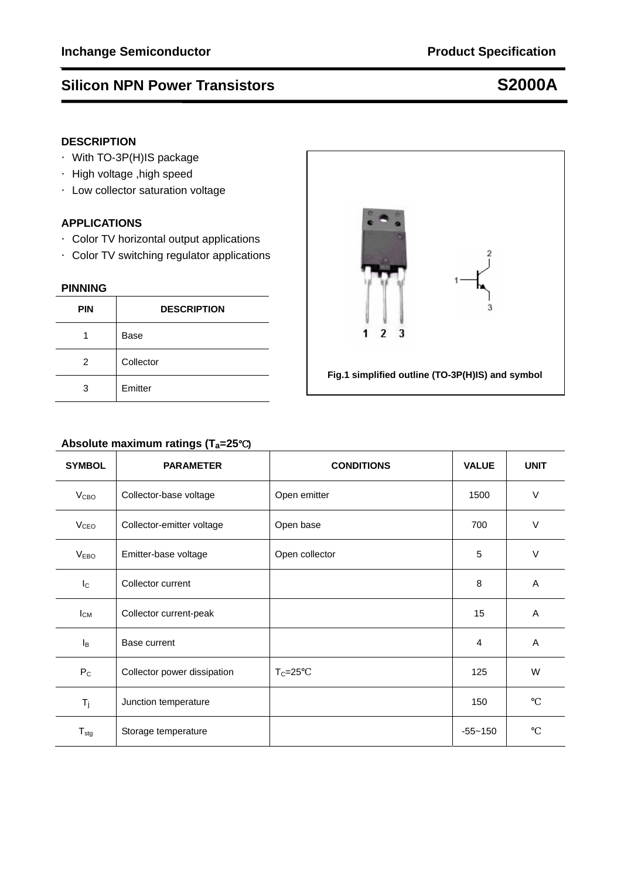## **Silicon NPN Power Transistors S2000A**

## **DESCRIPTION**

- ·With TO-3P(H)IS package
- ·High voltage ,high speed
- ·Low collector saturation voltage

## **APPLICATIONS**

- ·Color TV horizontal output applications
- ·Color TV switching regulator applications

## **PINNING**

| <b>PIN</b> | <b>DESCRIPTION</b> |  |  |
|------------|--------------------|--|--|
|            | <b>Base</b>        |  |  |
| 2          | Collector          |  |  |
| 3          | Emitter            |  |  |



## **Absolute maximum ratings (Ta=25**℃**)**

| <b>SYMBOL</b>    | <b>PARAMETER</b>            | <b>CONDITIONS</b> | <b>VALUE</b>   | <b>UNIT</b> |
|------------------|-----------------------------|-------------------|----------------|-------------|
| V <sub>CBO</sub> | Collector-base voltage      | Open emitter      | 1500           | $\vee$      |
| V <sub>CEO</sub> | Collector-emitter voltage   | Open base         | 700            | $\vee$      |
| <b>VEBO</b>      | Emitter-base voltage        | Open collector    | 5              | $\vee$      |
| $I_{\rm C}$      | Collector current           |                   | 8              | A           |
| $I_{CM}$         | Collector current-peak      |                   | 15             | A           |
| Iв               | Base current                |                   | $\overline{4}$ | A           |
| $P_{C}$          | Collector power dissipation | $T_c = 25$        | 125            | W           |
| $T_j$            | Junction temperature        |                   | 150            |             |
| $T_{\text{stg}}$ | Storage temperature         |                   | $-55 - 150$    |             |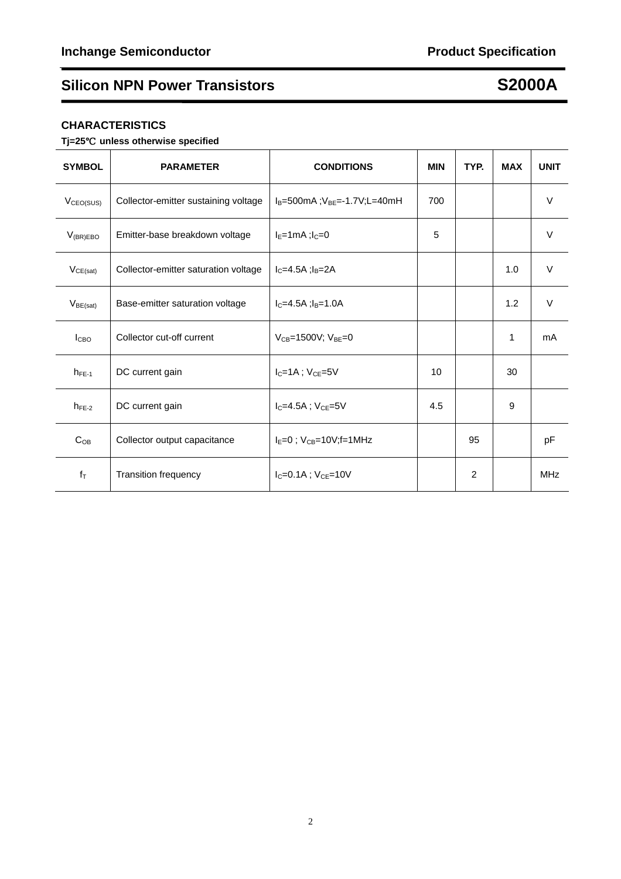# **Silicon NPN Power Transistors S2000A**

## **CHARACTERISTICS**

**Tj=25**℃ **unless otherwise specified** 

| <b>SYMBOL</b>         | <b>PARAMETER</b>                     | <b>CONDITIONS</b>                         | <b>MIN</b> | TYP. | <b>MAX</b> | <b>UNIT</b> |
|-----------------------|--------------------------------------|-------------------------------------------|------------|------|------------|-------------|
| V <sub>CEO(SUS)</sub> | Collector-emitter sustaining voltage | $I_B = 500$ mA ; $V_{BF} = -1.7V$ ;L=40mH | 700        |      |            | V           |
| $V_{(BR)EBO}$         | Emitter-base breakdown voltage       | $I_F=1mA$ ; $I_C=0$                       | 5          |      |            | V           |
| VCE(sat)              | Collector-emitter saturation voltage | $IC=4.5A$ ; $IB=2A$                       |            |      | 1.0        | V           |
| $V_{BE(sat)}$         | Base-emitter saturation voltage      | $I_{C} = 4.5A$ : $I_{B} = 1.0A$           |            |      | 1.2        | V           |
| <b>I</b> CBO          | Collector cut-off current            | $V_{CB} = 1500V$ ; $V_{BE} = 0$           |            |      | 1          | mA          |
| $h_{FE-1}$            | DC current gain                      | $I_C = 1A$ ; $V_{CE} = 5V$                | 10         |      | 30         |             |
| $h_{FE-2}$            | DC current gain                      | $I_{C} = 4.5A$ ; $V_{CF} = 5V$            | 4.5        |      | 9          |             |
| $C_{OB}$              | Collector output capacitance         | $I_E = 0$ ; $V_{CB} = 10V; f = 1MHz$      |            | 95   |            | рF          |
| $f_T$                 | <b>Transition frequency</b>          | $I_{C} = 0.1A$ ; $V_{CE} = 10V$           |            | 2    |            | <b>MHz</b>  |